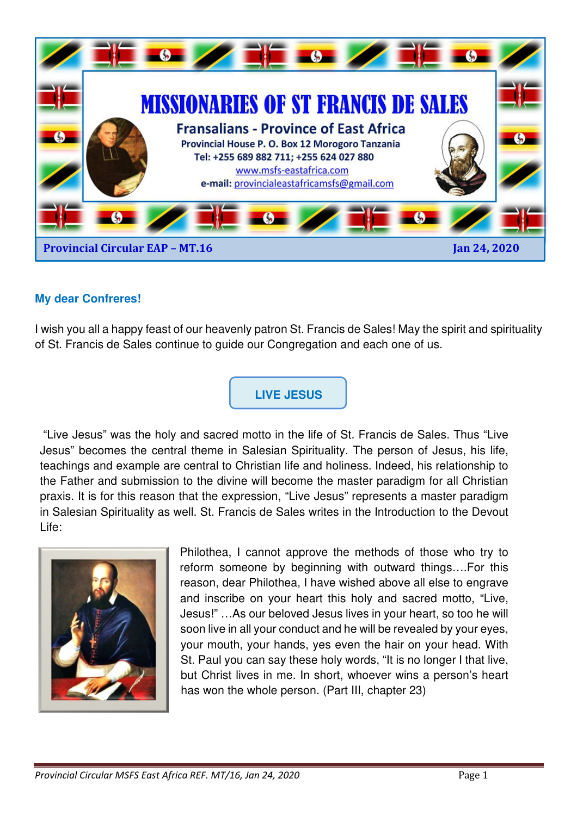

### **My dear Confreres!**

I wish you all a happy feast of our heavenly patron St. Francis de Sales! May the spirit and spirituality of St. Francis de Sales continue to guide our Congregation and each one of us.



 "Live Jesus" was the holy and sacred motto in the life of St. Francis de Sales. Thus "Live Jesus" becomes the central theme in Salesian Spirituality. The person of Jesus, his life, teachings and example are central to Christian life and holiness. Indeed, his relationship to the Father and submission to the divine will become the master paradigm for all Christian praxis. It is for this reason that the expression, "Live Jesus" represents a master paradigm in Salesian Spirituality as well. St. Francis de Sales writes in the Introduction to the Devout Life:



Philothea, I cannot approve the methods of those who try to reform someone by beginning with outward things….For this reason, dear Philothea, I have wished above all else to engrave and inscribe on your heart this holy and sacred motto, "Live, Jesus!" …As our beloved Jesus lives in your heart, so too he will soon live in all your conduct and he will be revealed by your eyes, your mouth, your hands, yes even the hair on your head. With St. Paul you can say these holy words, "It is no longer I that live, but Christ lives in me. In short, whoever wins a person's heart has won the whole person. (Part III, chapter 23)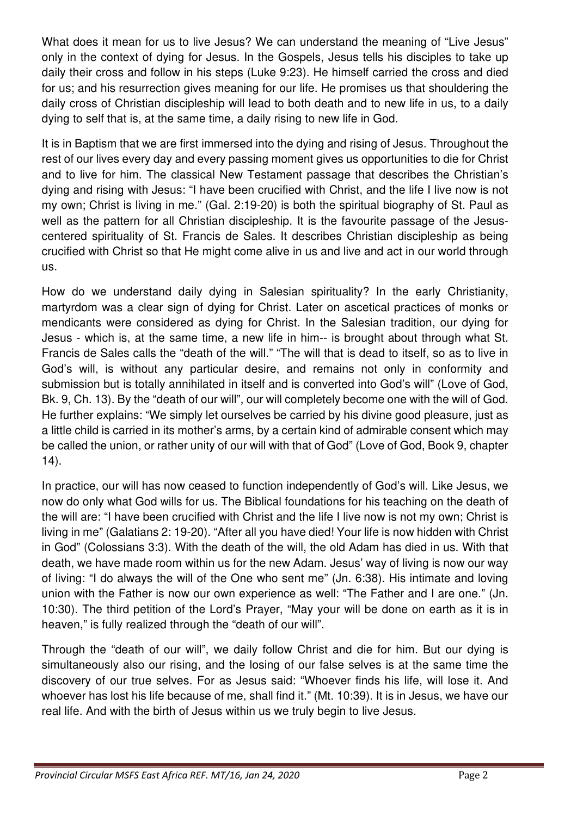What does it mean for us to live Jesus? We can understand the meaning of "Live Jesus" only in the context of dying for Jesus. In the Gospels, Jesus tells his disciples to take up daily their cross and follow in his steps (Luke 9:23). He himself carried the cross and died for us; and his resurrection gives meaning for our life. He promises us that shouldering the daily cross of Christian discipleship will lead to both death and to new life in us, to a daily dying to self that is, at the same time, a daily rising to new life in God.

It is in Baptism that we are first immersed into the dying and rising of Jesus. Throughout the rest of our lives every day and every passing moment gives us opportunities to die for Christ and to live for him. The classical New Testament passage that describes the Christian's dying and rising with Jesus: "I have been crucified with Christ, and the life I live now is not my own; Christ is living in me." (Gal. 2:19-20) is both the spiritual biography of St. Paul as well as the pattern for all Christian discipleship. It is the favourite passage of the Jesuscentered spirituality of St. Francis de Sales. It describes Christian discipleship as being crucified with Christ so that He might come alive in us and live and act in our world through us.

How do we understand daily dying in Salesian spirituality? In the early Christianity, martyrdom was a clear sign of dying for Christ. Later on ascetical practices of monks or mendicants were considered as dying for Christ. In the Salesian tradition, our dying for Jesus - which is, at the same time, a new life in him-- is brought about through what St. Francis de Sales calls the "death of the will." "The will that is dead to itself, so as to live in God's will, is without any particular desire, and remains not only in conformity and submission but is totally annihilated in itself and is converted into God's will" (Love of God, Bk. 9, Ch. 13). By the "death of our will", our will completely become one with the will of God. He further explains: "We simply let ourselves be carried by his divine good pleasure, just as a little child is carried in its mother's arms, by a certain kind of admirable consent which may be called the union, or rather unity of our will with that of God" (Love of God, Book 9, chapter 14).

In practice, our will has now ceased to function independently of God's will. Like Jesus, we now do only what God wills for us. The Biblical foundations for his teaching on the death of the will are: "I have been crucified with Christ and the life I live now is not my own; Christ is living in me" (Galatians 2: 19-20). "After all you have died! Your life is now hidden with Christ in God" (Colossians 3:3). With the death of the will, the old Adam has died in us. With that death, we have made room within us for the new Adam. Jesus' way of living is now our way of living: "I do always the will of the One who sent me" (Jn. 6:38). His intimate and loving union with the Father is now our own experience as well: "The Father and I are one." (Jn. 10:30). The third petition of the Lord's Prayer, "May your will be done on earth as it is in heaven," is fully realized through the "death of our will".

Through the "death of our will", we daily follow Christ and die for him. But our dying is simultaneously also our rising, and the losing of our false selves is at the same time the discovery of our true selves. For as Jesus said: "Whoever finds his life, will lose it. And whoever has lost his life because of me, shall find it." (Mt. 10:39). It is in Jesus, we have our real life. And with the birth of Jesus within us we truly begin to live Jesus.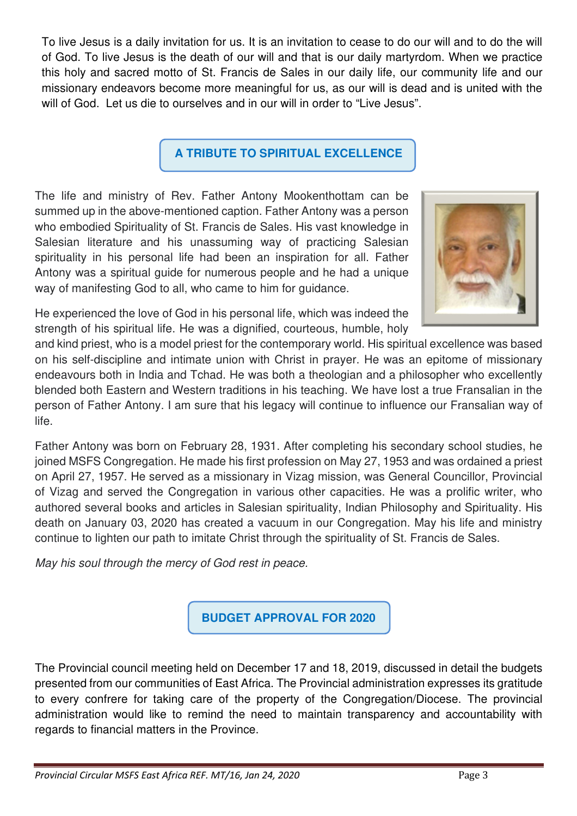To live Jesus is a daily invitation for us. It is an invitation to cease to do our will and to do the will of God. To live Jesus is the death of our will and that is our daily martyrdom. When we practice this holy and sacred motto of St. Francis de Sales in our daily life, our community life and our missionary endeavors become more meaningful for us, as our will is dead and is united with the will of God. Let us die to ourselves and in our will in order to "Live Jesus".

## **A TRIBUTE TO SPIRITUAL EXCELLENCE**

The life and ministry of Rev. Father Antony Mookenthottam can be summed up in the above-mentioned caption. Father Antony was a person who embodied Spirituality of St. Francis de Sales. His vast knowledge in Salesian literature and his unassuming way of practicing Salesian spirituality in his personal life had been an inspiration for all. Father Antony was a spiritual guide for numerous people and he had a unique way of manifesting God to all, who came to him for guidance.



He experienced the love of God in his personal life, which was indeed the strength of his spiritual life. He was a dignified, courteous, humble, holy

and kind priest, who is a model priest for the contemporary world. His spiritual excellence was based on his self-discipline and intimate union with Christ in prayer. He was an epitome of missionary endeavours both in India and Tchad. He was both a theologian and a philosopher who excellently blended both Eastern and Western traditions in his teaching. We have lost a true Fransalian in the person of Father Antony. I am sure that his legacy will continue to influence our Fransalian way of life.

Father Antony was born on February 28, 1931. After completing his secondary school studies, he joined MSFS Congregation. He made his first profession on May 27, 1953 and was ordained a priest on April 27, 1957. He served as a missionary in Vizag mission, was General Councillor, Provincial of Vizag and served the Congregation in various other capacities. He was a prolific writer, who authored several books and articles in Salesian spirituality, Indian Philosophy and Spirituality. His death on January 03, 2020 has created a vacuum in our Congregation. May his life and ministry continue to lighten our path to imitate Christ through the spirituality of St. Francis de Sales.

May his soul through the mercy of God rest in peace.



The Provincial council meeting held on December 17 and 18, 2019, discussed in detail the budgets presented from our communities of East Africa. The Provincial administration expresses its gratitude to every confrere for taking care of the property of the Congregation/Diocese. The provincial administration would like to remind the need to maintain transparency and accountability with regards to financial matters in the Province.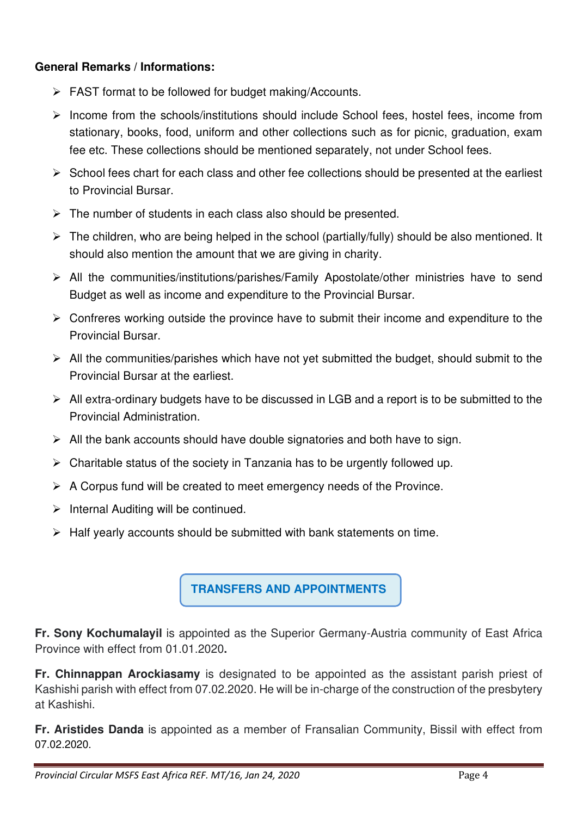## **General Remarks / Informations:**

- $\triangleright$  FAST format to be followed for budget making/Accounts.
- $\triangleright$  Income from the schools/institutions should include School fees, hostel fees, income from stationary, books, food, uniform and other collections such as for picnic, graduation, exam fee etc. These collections should be mentioned separately, not under School fees.
- $\triangleright$  School fees chart for each class and other fee collections should be presented at the earliest to Provincial Bursar.
- $\triangleright$  The number of students in each class also should be presented.
- $\triangleright$  The children, who are being helped in the school (partially/fully) should be also mentioned. It should also mention the amount that we are giving in charity.
- All the communities/institutions/parishes/Family Apostolate/other ministries have to send Budget as well as income and expenditure to the Provincial Bursar.
- $\triangleright$  Confreres working outside the province have to submit their income and expenditure to the Provincial Bursar.
- $\triangleright$  All the communities/parishes which have not yet submitted the budget, should submit to the Provincial Bursar at the earliest.
- $\triangleright$  All extra-ordinary budgets have to be discussed in LGB and a report is to be submitted to the Provincial Administration.
- $\triangleright$  All the bank accounts should have double signatories and both have to sign.
- $\triangleright$  Charitable status of the society in Tanzania has to be urgently followed up.
- $\triangleright$  A Corpus fund will be created to meet emergency needs of the Province.
- $\triangleright$  Internal Auditing will be continued.
- $\triangleright$  Half yearly accounts should be submitted with bank statements on time.

**TRANSFERS AND APPOINTMENTS** 

**Fr. Sony Kochumalayil** is appointed as the Superior Germany-Austria community of East Africa Province with effect from 01.01.2020**.** 

**Fr. Chinnappan Arockiasamy** is designated to be appointed as the assistant parish priest of Kashishi parish with effect from 07.02.2020. He will be in-charge of the construction of the presbytery at Kashishi.

**Fr. Aristides Danda** is appointed as a member of Fransalian Community, Bissil with effect from 07.02.2020.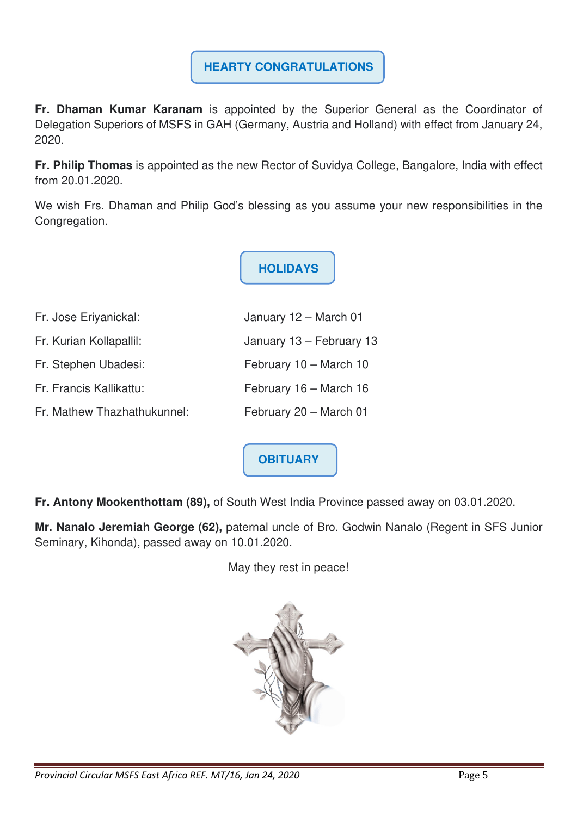# **HEARTY CONGRATULATIONS**

**Fr. Dhaman Kumar Karanam** is appointed by the Superior General as the Coordinator of Delegation Superiors of MSFS in GAH (Germany, Austria and Holland) with effect from January 24, 2020.

**Fr. Philip Thomas** is appointed as the new Rector of Suvidya College, Bangalore, India with effect from 20.01.2020.

We wish Frs. Dhaman and Philip God's blessing as you assume your new responsibilities in the Congregation.

**HOLIDAYS**

| Fr. Jose Eriyanickal:       | January 12 - March 01    |
|-----------------------------|--------------------------|
| Fr. Kurian Kollapallil:     | January 13 - February 13 |
| Fr. Stephen Ubadesi:        | February 10 - March 10   |
| Fr. Francis Kallikattu:     | February 16 - March 16   |
| Fr. Mathew Thazhathukunnel: | February 20 - March 01   |
|                             |                          |

**OBITUARY** 

**Fr. Antony Mookenthottam (89),** of South West India Province passed away on 03.01.2020.

**Mr. Nanalo Jeremiah George (62),** paternal uncle of Bro. Godwin Nanalo (Regent in SFS Junior Seminary, Kihonda), passed away on 10.01.2020.

May they rest in peace!